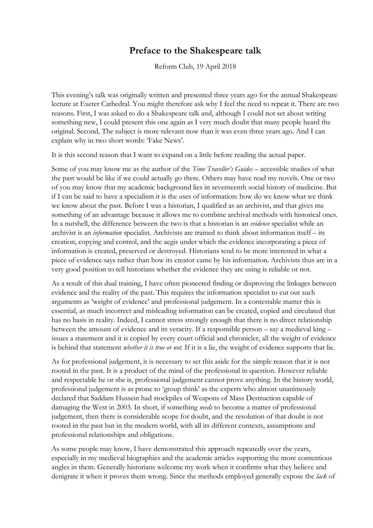## **Preface to the Shakespeare talk**

Reform Club, 19 April 2018

This evening's talk was originally written and presented three years ago for the annual Shakespeare lecture at Exeter Cathedral. You might therefore ask why I feel the need to repeat it. There are two reasons. First, I was asked to do a Shakespeare talk and, although I could not set about writing something new, I could present this one again as I very much doubt that many people heard the original. Second, The subject is more relevant now than it was even three years ago. And I can explain why in two short words: 'Fake News'.

It is this second reason that I want to expand on a little before reading the actual paper.

Some of you may know me as the author of the *Time Traveller's Guides –* accessible studies of what the past would be like if we could actually go there. Others may have read my novels. One or two of you may know that my academic background lies in seventeenth social history of medicine. But if I can be said to have a specialism it is the uses of information: how do we know what we think we know about the past. Before I was a historian, I qualified as an archivist, and that gives me something of an advantage because it allows me to combine archival methods with historical ones. In a nutshell, the difference between the two is that a historian is an *evidence* specialist while an archivist is an *information* specialist. Archivists are trained to think about information itself – its creation, copying and control, and the aegis under which the evidence incorporating a piece of information is created, preserved or destroyed. Historians tend to be more interested in what a piece of evidence says rather than how its creator came by his information. Archivists thus are in a very good position to tell historians whether the evidence they are using is reliable or not.

As a result of this dual training, I have often pioneered finding or disproving the linkages between evidence and the reality of the past. This requires the information specialist to cut out such arguments as 'weight of evidence' and professional judgement. In a contestable matter this is essential, as much incorrect and misleading information can be created, copied and circulated that has no basis in reality. Indeed, I cannot stress strongly enough that there is no direct relationship between the amount of evidence and its veracity. If a responsible person – say a medieval king – issues a statement and it is copied by every court official and chronicler, all the weight of evidence is behind that statement *whether it is true or not.* If it is a lie, the weight of evidence supports that lie.

As for professional judgement, it is necessary to set this aside for the simple reason that it is not rooted in the past. It is a product of the mind of the professional in question. However reliable and respectable he or she is, professional judgement cannot prove anything. In the history world, professional judgement is as prone to 'group think' as the experts who almost unanimously declared that Saddam Hussein had stockpiles of Weapons of Mass Destruction capable of damaging the West in 2003. In short, if something *needs* to become a matter of professional judgement, then there is considerable scope for doubt, and the resolution of that doubt is not rooted in the past but in the modern world, with all its different contexts, assumptions and professional relationships and obligations.

As some people may know, I have demonstrated this approach repeatedly over the years, especially in my medieval biographies and the academic articles supporting the more contentious angles in them. Generally historians welcome my work when it confirms what they believe and denigrate it when it proves them wrong. Since the methods employed generally expose the *lack* of